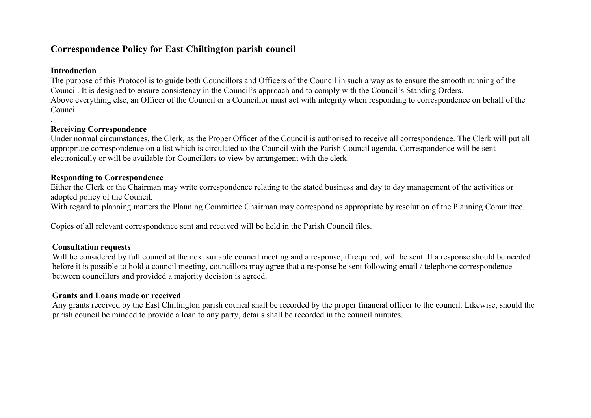# **Correspondence Policy for East Chiltington parish council**

## **Introduction**

The purpose of this Protocol is to guide both Councillors and Officers of the Council in such a way as to ensure the smooth running of the Council. It is designed to ensure consistency in the Council's approach and to comply with the Council's Standing Orders. Above everything else, an Officer of the Council or a Councillor must act with integrity when responding to correspondence on behalf of the Council

#### . **Receiving Correspondence**

Under normal circumstances, the Clerk, as the Proper Officer of the Council is authorised to receive all correspondence. The Clerk will put all appropriate correspondence on a list which is circulated to the Council with the Parish Council agenda. Correspondence will be sent electronically or will be available for Councillors to view by arrangement with the clerk.

#### **Responding to Correspondence**

Either the Clerk or the Chairman may write correspondence relating to the stated business and day to day management of the activities or adopted policy of the Council.

With regard to planning matters the Planning Committee Chairman may correspond as appropriate by resolution of the Planning Committee.

Copies of all relevant correspondence sent and received will be held in the Parish Council files.

## **Consultation requests**

Will be considered by full council at the next suitable council meeting and a response, if required, will be sent. If a response should be needed before it is possible to hold a council meeting, councillors may agree that a response be sent following email / telephone correspondence between councillors and provided a majority decision is agreed.

#### **Grants and Loans made or received**

Any grants received by the East Chiltington parish council shall be recorded by the proper financial officer to the council. Likewise, should the parish council be minded to provide a loan to any party, details shall be recorded in the council minutes.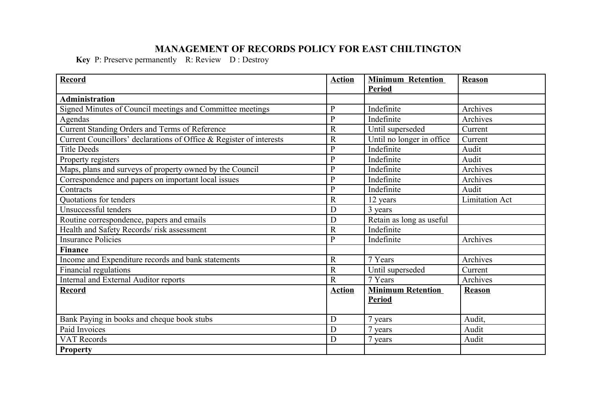# **MANAGEMENT OF RECORDS POLICY FOR EAST CHILTINGTON**

**Key** P: Preserve permanently R: Review D : Destroy

| Record                                                              | <b>Action</b>  | <b>Minimum Retention</b>  | Reason                |
|---------------------------------------------------------------------|----------------|---------------------------|-----------------------|
|                                                                     |                | <b>Period</b>             |                       |
| <b>Administration</b>                                               |                |                           |                       |
| Signed Minutes of Council meetings and Committee meetings           | $\overline{P}$ | Indefinite                | Archives              |
| Agendas                                                             | $\mathbf P$    | Indefinite                | Archives              |
| Current Standing Orders and Terms of Reference                      | $\mathbf R$    | Until superseded          | Current               |
| Current Councillors' declarations of Office & Register of interests | $\mathbb{R}$   | Until no longer in office | Current               |
| <b>Title Deeds</b>                                                  | $\mathbf P$    | Indefinite                | Audit                 |
| Property registers                                                  | $\mathbf P$    | Indefinite                | Audit                 |
| Maps, plans and surveys of property owned by the Council            | ${\bf P}$      | Indefinite                | Archives              |
| Correspondence and papers on important local issues                 | $\mathbf{P}$   | Indefinite                | Archives              |
| Contracts                                                           | $\mathbf P$    | Indefinite                | Audit                 |
| Quotations for tenders                                              | $\mathbb{R}$   | 12 years                  | <b>Limitation Act</b> |
| Unsuccessful tenders                                                | D              | 3 years                   |                       |
| Routine correspondence, papers and emails                           | D              | Retain as long as useful  |                       |
| Health and Safety Records/risk assessment                           | $\mathbf R$    | Indefinite                |                       |
| <b>Insurance Policies</b>                                           | $\mathbf{P}$   | Indefinite                | Archives              |
| <b>Finance</b>                                                      |                |                           |                       |
| Income and Expenditure records and bank statements                  | $\mathbf R$    | 7 Years                   | Archives              |
| Financial regulations                                               | $\overline{R}$ | Until superseded          | Current               |
| Internal and External Auditor reports                               | $\mathbf R$    | 7 Years                   | Archives              |
| <b>Record</b>                                                       | <b>Action</b>  | <b>Minimum Retention</b>  | Reason                |
|                                                                     |                | <b>Period</b>             |                       |
|                                                                     |                |                           |                       |
| Bank Paying in books and cheque book stubs                          | D              | 7 years                   | Audit,                |
| Paid Invoices                                                       | D              | 7 years                   | Audit                 |
| <b>VAT Records</b>                                                  | D              | 7 years                   | Audit                 |
| <b>Property</b>                                                     |                |                           |                       |